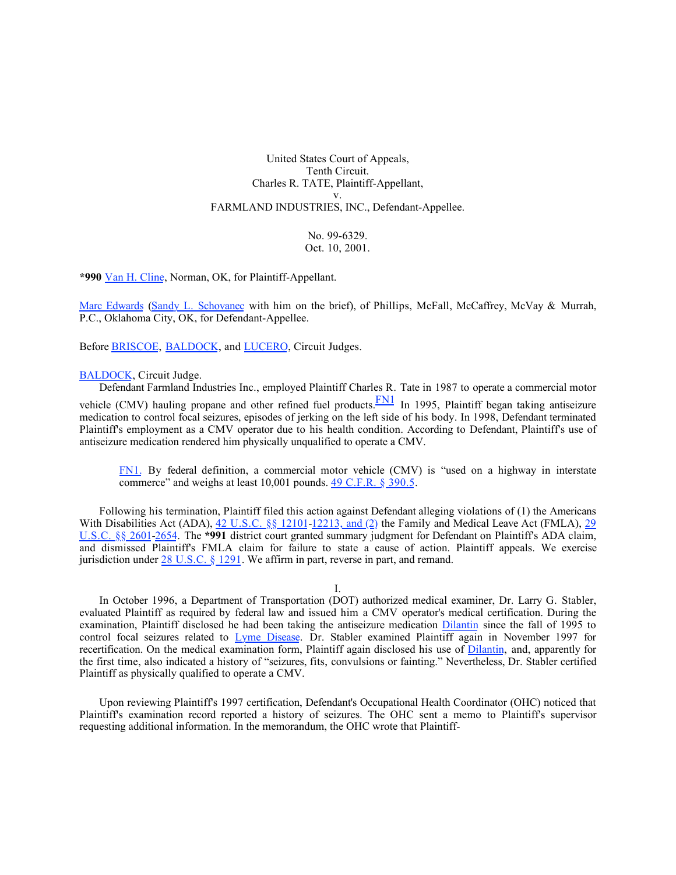# United States Court of Appeals, Tenth Circuit. Charles R. TATE, Plaintiff-Appellant, v. FARMLAND INDUSTRIES, INC., Defendant-Appellee.

No. 99-6329. Oct. 10, 2001.

**\*990** [Van H. Cline](http://www.westlaw.com/Find/Default.wl?rs=dfa1.0&vr=2.0&DB=PROFILER-WLD&DocName=0271996801&FindType=h), Norman, OK, for Plaintiff-Appellant.

[Marc Edwards](http://www.westlaw.com/Find/Default.wl?rs=dfa1.0&vr=2.0&DB=PROFILER-WLD&DocName=0148296501&FindType=h) [\(Sandy L. Schovanec](http://www.westlaw.com/Find/Default.wl?rs=dfa1.0&vr=2.0&DB=PROFILER-WLD&DocName=0190411901&FindType=h) with him on the brief), of Phillips, McFall, McCaffrey, McVay & Murrah, P.C., Oklahoma City, OK, for Defendant-Appellee.

Before **BRISCOE**, **[BALDOCK](http://www.westlaw.com/Find/Default.wl?rs=dfa1.0&vr=2.0&DB=PROFILER-WLD&DocName=0229175801&FindType=h)**, and **[LUCERO](http://www.westlaw.com/Find/Default.wl?rs=dfa1.0&vr=2.0&DB=PROFILER-WLD&DocName=0255848601&FindType=h)**, Circuit Judges.

## **[BALDOCK](http://www.westlaw.com/Find/Default.wl?rs=dfa1.0&vr=2.0&DB=PROFILER-WLD&DocName=0229175801&FindType=h)**, Circuit Judge.

Defendant Farmland Industries Inc., employed Plaintiff Charles R. Tate in 1987 to operate a commercial motor vehicle (CMV) hauling propane and other refined fuel products. $\frac{FN1}{FN1}$  In 1995, Plaintiff began taking antiseizure medication to control focal seizures, episodes of jerking on the left side of his body. In 1998, Defendant terminated Plaintiff's employment as a CMV operator due to his health condition. According to Defendant, Plaintiff's use of antiseizure medication rendered him physically unqualified to operate a CMV.

[FN1.](%5Cl%20%22Document1zzF00112001868118%22) By federal definition, a commercial motor vehicle (CMV) is "used on a highway in interstate commerce" and weighs at least 10,001 pounds. [49 C.F.R. § 390.5](http://www.westlaw.com/Find/Default.wl?rs=dfa1.0&vr=2.0&DB=1000547&DocName=49CFRS390.5&FindType=L).

Following his termination, Plaintiff filed this action against Defendant alleging violations of (1) the Americans With Disabilities Act (ADA), [42 U.S.C. §§ 12101](http://www.westlaw.com/Find/Default.wl?rs=dfa1.0&vr=2.0&DB=1000546&DocName=42USCAS12101&FindType=L)[-12213, and \(2\)](http://www.westlaw.com/Find/Default.wl?rs=dfa1.0&vr=2.0&DB=1000546&DocName=42USCAS12213&FindType=L) the Family and Medical Leave Act (FMLA), [29](http://www.westlaw.com/Find/Default.wl?rs=dfa1.0&vr=2.0&DB=1000546&DocName=29USCAS2601&FindType=L) [U.S.C. §§ 2601-](http://www.westlaw.com/Find/Default.wl?rs=dfa1.0&vr=2.0&DB=1000546&DocName=29USCAS2601&FindType=L)[2654.](http://www.westlaw.com/Find/Default.wl?rs=dfa1.0&vr=2.0&DB=1000546&DocName=29USCAS2654&FindType=L) The **\*991** district court granted summary judgment for Defendant on Plaintiff's ADA claim, and dismissed Plaintiff's FMLA claim for failure to state a cause of action. Plaintiff appeals. We exercise jurisdiction under [28 U.S.C. § 1291](http://www.westlaw.com/Find/Default.wl?rs=dfa1.0&vr=2.0&DB=1000546&DocName=28USCAS1291&FindType=L). We affirm in part, reverse in part, and remand.

#### I.

In October 1996, a Department of Transportation (DOT) authorized medical examiner, Dr. Larry G. Stabler, evaluated Plaintiff as required by federal law and issued him a CMV operator's medical certification. During the examination, Plaintiff disclosed he had been taking the antiseizure medication **Dilantin** since the fall of 1995 to control focal seizures related to *Lyme Disease*. Dr. Stabler examined Plaintiff again in November 1997 for recertification. On the medical examination form, Plaintiff again disclosed his use of **Dilantin**, and, apparently for the first time, also indicated a history of "seizures, fits, convulsions or fainting." Nevertheless, Dr. Stabler certified Plaintiff as physically qualified to operate a CMV.

Upon reviewing Plaintiff's 1997 certification, Defendant's Occupational Health Coordinator (OHC) noticed that Plaintiff's examination record reported a history of seizures. The OHC sent a memo to Plaintiff's supervisor requesting additional information. In the memorandum, the OHC wrote that Plaintiff-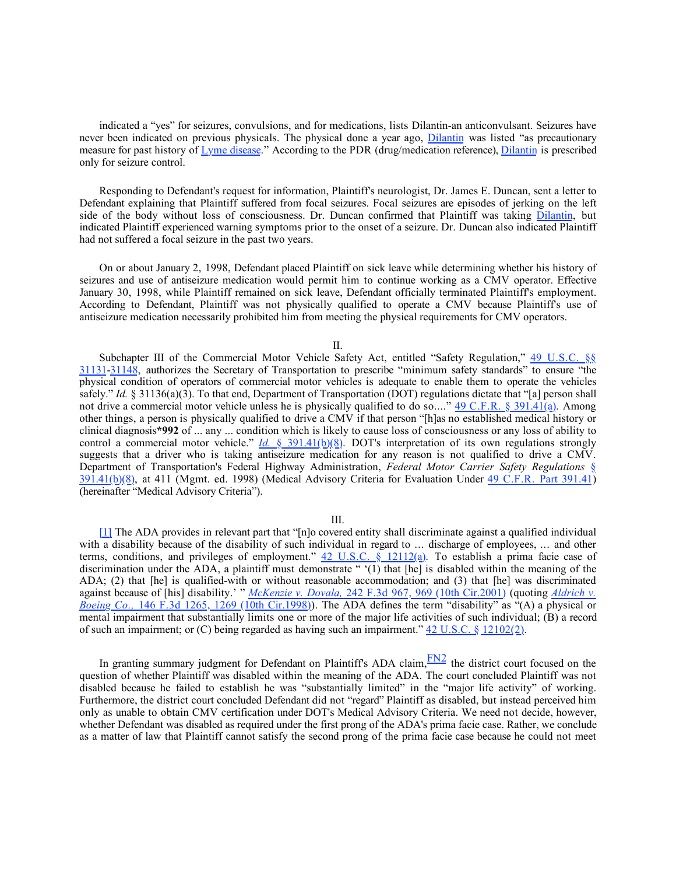indicated a "yes" for seizures, convulsions, and for medications, lists Dilantin-an anticonvulsant. Seizures have never been indicated on previous physicals. The physical done a year ago, [Dilantin](http://www.westlaw.com/Find/Default.wl?rs=dfa1.0&vr=2.0&CMD=ML&DocName=I396eb00e475111db9765f9243f53508a&FindType=BD) was listed "as precautionary measure for past history of [Lyme disease](http://www.westlaw.com/Find/Default.wl?rs=dfa1.0&vr=2.0&CMD=ML&DocName=Ib21fe02a475411db9765f9243f53508a&FindType=UM)." According to the PDR (drug/medication reference), [Dilantin](http://www.westlaw.com/Find/Default.wl?rs=dfa1.0&vr=2.0&CMD=ML&DocName=I396eb00e475111db9765f9243f53508a&FindType=BD) is prescribed only for seizure control.

Responding to Defendant's request for information, Plaintiff's neurologist, Dr. James E. Duncan, sent a letter to Defendant explaining that Plaintiff suffered from focal seizures. Focal seizures are episodes of jerking on the left side of the body without loss of consciousness. Dr. Duncan confirmed that Plaintiff was taking [Dilantin](http://www.westlaw.com/Find/Default.wl?rs=dfa1.0&vr=2.0&CMD=ML&DocName=I396eb00e475111db9765f9243f53508a&FindType=BD), but indicated Plaintiff experienced warning symptoms prior to the onset of a seizure. Dr. Duncan also indicated Plaintiff had not suffered a focal seizure in the past two years.

On or about January 2, 1998, Defendant placed Plaintiff on sick leave while determining whether his history of seizures and use of antiseizure medication would permit him to continue working as a CMV operator. Effective January 30, 1998, while Plaintiff remained on sick leave, Defendant officially terminated Plaintiff's employment. According to Defendant, Plaintiff was not physically qualified to operate a CMV because Plaintiff's use of antiseizure medication necessarily prohibited him from meeting the physical requirements for CMV operators.

II.

Subchapter III of the Commercial Motor Vehicle Safety Act, entitled "Safety Regulation," [49 U.S.C. §§](http://www.westlaw.com/Find/Default.wl?rs=dfa1.0&vr=2.0&DB=1000546&DocName=49USCAS31131&FindType=L) [31131](http://www.westlaw.com/Find/Default.wl?rs=dfa1.0&vr=2.0&DB=1000546&DocName=49USCAS31131&FindType=L)[-31148](http://www.westlaw.com/Find/Default.wl?rs=dfa1.0&vr=2.0&DB=1000546&DocName=49USCAS31148&FindType=L), authorizes the Secretary of Transportation to prescribe "minimum safety standards" to ensure "the physical condition of operators of commercial motor vehicles is adequate to enable them to operate the vehicles safely." *Id.* § 31136(a)(3). To that end, Department of Transportation (DOT) regulations dictate that "[a] person shall not drive a commercial motor vehicle unless he is physically qualified to do so...." [49 C.F.R. § 391.41\(a\).](http://www.westlaw.com/Find/Default.wl?rs=dfa1.0&vr=2.0&DB=1000547&DocName=49CFRS391.41&FindType=L) Among other things, a person is physically qualified to drive a CMV if that person "[h]as no established medical history or clinical diagnosis**\*992** of ... any ... condition which is likely to cause loss of consciousness or any loss of ability to control a commercial motor vehicle." *[Id.](http://www.westlaw.com/Find/Default.wl?rs=dfa1.0&vr=2.0&DB=1000547&DocName=49CFRS391.41&FindType=L)* [§ 391.41\(b\)\(8\)](http://www.westlaw.com/Find/Default.wl?rs=dfa1.0&vr=2.0&DB=1000547&DocName=49CFRS391.41&FindType=L). DOT's interpretation of its own regulations strongly suggests that a driver who is taking antiseizure medication for any reason is not qualified to drive a CMV. Department of Transportation's Federal Highway Administration, *Federal Motor Carrier Safety Regulations* [§](http://www.westlaw.com/Find/Default.wl?rs=dfa1.0&vr=2.0&DB=1000547&DocName=49CFRS391.41&FindType=L) [391.41\(b\)\(8\)](http://www.westlaw.com/Find/Default.wl?rs=dfa1.0&vr=2.0&DB=1000547&DocName=49CFRS391.41&FindType=L), at 411 (Mgmt. ed. 1998) (Medical Advisory Criteria for Evaluation Under [49 C.F.R. Part 391.41](http://www.westlaw.com/Find/Default.wl?rs=dfa1.0&vr=2.0&DB=1000547&DocName=49CFRS391.41&FindType=L)) (hereinafter "Medical Advisory Criteria").

## III.

[\[1\]](%5Cl%20%22Document1zzF12001868118%22) The ADA provides in relevant part that "[n]o covered entity shall discriminate against a qualified individual with a disability because of the disability of such individual in regard to ... discharge of employees, ... and other terms, conditions, and privileges of employment."  $42 \text{ U.S.C. }$  §  $12112(a)$ . To establish a prima facie case of discrimination under the ADA, a plaintiff must demonstrate " '(1) that [he] is disabled within the meaning of the ADA; (2) that [he] is qualified-with or without reasonable accommodation; and (3) that [he] was discriminated against because of [his] disability.' " *[McKenzie v. Dovala,](http://www.westlaw.com/Find/Default.wl?rs=dfa1.0&vr=2.0&DB=506&FindType=Y&ReferencePositionType=S&SerialNum=2001211816&ReferencePosition=969)* [242 F.3d 967, 969 \(10th Cir.2001\)](http://www.westlaw.com/Find/Default.wl?rs=dfa1.0&vr=2.0&DB=506&FindType=Y&ReferencePositionType=S&SerialNum=2001211816&ReferencePosition=969) (quoting *[Aldrich v.](http://www.westlaw.com/Find/Default.wl?rs=dfa1.0&vr=2.0&DB=506&FindType=Y&ReferencePositionType=S&SerialNum=1998137239&ReferencePosition=1269) [Boeing Co.,](http://www.westlaw.com/Find/Default.wl?rs=dfa1.0&vr=2.0&DB=506&FindType=Y&ReferencePositionType=S&SerialNum=1998137239&ReferencePosition=1269)* [146 F.3d 1265, 1269 \(10th Cir.1998\)\)](http://www.westlaw.com/Find/Default.wl?rs=dfa1.0&vr=2.0&DB=506&FindType=Y&ReferencePositionType=S&SerialNum=1998137239&ReferencePosition=1269). The ADA defines the term "disability" as "(A) a physical or mental impairment that substantially limits one or more of the major life activities of such individual; (B) a record of such an impairment; or (C) being regarded as having such an impairment." [42 U.S.C. § 12102\(2\)](http://www.westlaw.com/Find/Default.wl?rs=dfa1.0&vr=2.0&DB=1000546&DocName=42USCAS12102&FindType=L).

In granting summary judgment for Defendant on Plaintiff's ADA claim,  $\frac{FN2}{FN2}$  the district court focused on the question of whether Plaintiff was disabled within the meaning of the ADA. The court concluded Plaintiff was not disabled because he failed to establish he was "substantially limited" in the "major life activity" of working. Furthermore, the district court concluded Defendant did not "regard" Plaintiff as disabled, but instead perceived him only as unable to obtain CMV certification under DOT's Medical Advisory Criteria. We need not decide, however, whether Defendant was disabled as required under the first prong of the ADA's prima facie case. Rather, we conclude as a matter of law that Plaintiff cannot satisfy the second prong of the prima facie case because he could not meet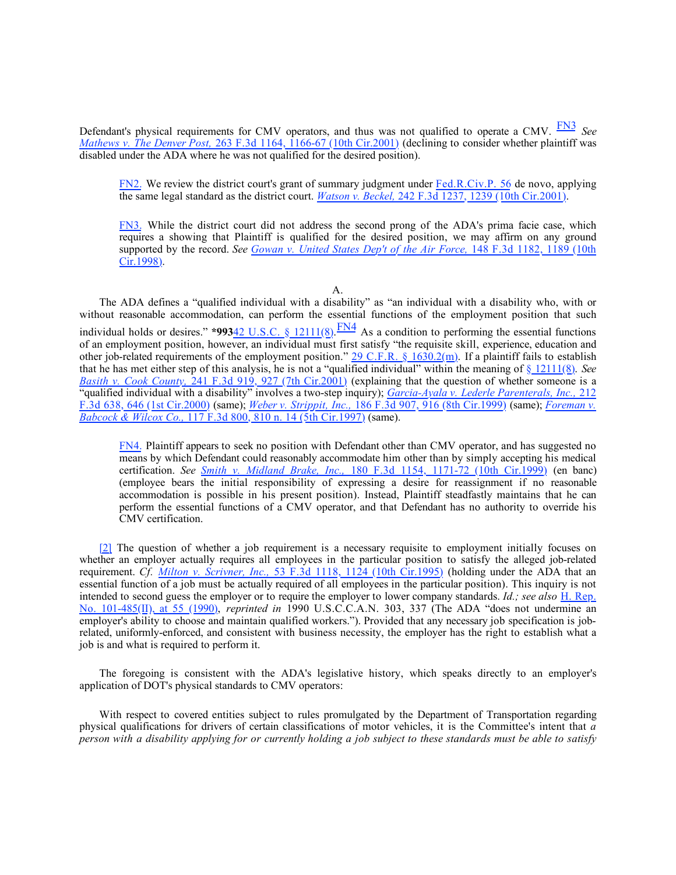Defendant's physical requirements for CMV operators, and thus was not qualified to operate a CMV. **[FN3](%5Cl%20%22Document1zzB00332001868118%22)** See *[Mathews v. The Denver Post,](http://www.westlaw.com/Find/Default.wl?rs=dfa1.0&vr=2.0&DB=506&FindType=Y&ReferencePositionType=S&SerialNum=2001730200&ReferencePosition=1166)* [263 F.3d 1164, 1166-67 \(10th Cir.2001\)](http://www.westlaw.com/Find/Default.wl?rs=dfa1.0&vr=2.0&DB=506&FindType=Y&ReferencePositionType=S&SerialNum=2001730200&ReferencePosition=1166) (declining to consider whether plaintiff was disabled under the ADA where he was not qualified for the desired position).

[FN2.](%5Cl%20%22Document1zzF00222001868118%22) We review the district court's grant of summary judgment under [Fed.R.Civ.P. 56](http://www.westlaw.com/Find/Default.wl?rs=dfa1.0&vr=2.0&DB=1004365&DocName=USFRCPR56&FindType=L) de novo, applying the same legal standard as the district court. *[Watson v. Beckel,](http://www.westlaw.com/Find/Default.wl?rs=dfa1.0&vr=2.0&DB=506&FindType=Y&ReferencePositionType=S&SerialNum=2001227373&ReferencePosition=1239)* [242 F.3d 1237, 1239 \(10th Cir.2001\)](http://www.westlaw.com/Find/Default.wl?rs=dfa1.0&vr=2.0&DB=506&FindType=Y&ReferencePositionType=S&SerialNum=2001227373&ReferencePosition=1239).

[FN3.](%5Cl%20%22Document1zzF00332001868118%22) While the district court did not address the second prong of the ADA's prima facie case, which requires a showing that Plaintiff is qualified for the desired position, we may affirm on any ground supported by the record. *See [Gowan v. United States Dep't of the Air Force,](http://www.westlaw.com/Find/Default.wl?rs=dfa1.0&vr=2.0&DB=506&FindType=Y&ReferencePositionType=S&SerialNum=1998151093&ReferencePosition=1189)* [148 F.3d 1182, 1189 \(10th](http://www.westlaw.com/Find/Default.wl?rs=dfa1.0&vr=2.0&DB=506&FindType=Y&ReferencePositionType=S&SerialNum=1998151093&ReferencePosition=1189)  [Cir.1998\)](http://www.westlaw.com/Find/Default.wl?rs=dfa1.0&vr=2.0&DB=506&FindType=Y&ReferencePositionType=S&SerialNum=1998151093&ReferencePosition=1189).

A.

The ADA defines a "qualified individual with a disability" as "an individual with a disability who, with or without reasonable accommodation, can perform the essential functions of the employment position that such individual holds or desires." **\*993**[42 U.S.C. § 12111\(8\)](http://www.westlaw.com/Find/Default.wl?rs=dfa1.0&vr=2.0&DB=1000546&DocName=42USCAS12111&FindType=L).  $\frac{FN4}{FN}$  $\frac{FN4}{FN}$  $\frac{FN4}{FN}$  As a condition to performing the essential functions of an employment position, however, an individual must first satisfy "the requisite skill, experience, education and other job-related requirements of the employment position."  $29 \text{ C.F.R.}$  §  $1630.2(\text{m})$ . If a plaintiff fails to establish that he has met either step of this analysis, he is not a "qualified individual" within the meaning of [§ 12111\(8\).](http://www.westlaw.com/Find/Default.wl?rs=dfa1.0&vr=2.0&DB=1000546&DocName=42USCAS12111&FindType=L) *See [Basith v. Cook County,](http://www.westlaw.com/Find/Default.wl?rs=dfa1.0&vr=2.0&DB=506&FindType=Y&ReferencePositionType=S&SerialNum=2001193713&ReferencePosition=927)* [241 F.3d 919, 927 \(7th Cir.2001\)](http://www.westlaw.com/Find/Default.wl?rs=dfa1.0&vr=2.0&DB=506&FindType=Y&ReferencePositionType=S&SerialNum=2001193713&ReferencePosition=927) (explaining that the question of whether someone is a "qualified individual with a disability" involves a two-step inquiry); *[Garcia-Ayala v. Lederle Parenterals, Inc.,](http://www.westlaw.com/Find/Default.wl?rs=dfa1.0&vr=2.0&DB=506&FindType=Y&ReferencePositionType=S&SerialNum=2000351411&ReferencePosition=646)* [212](http://www.westlaw.com/Find/Default.wl?rs=dfa1.0&vr=2.0&DB=506&FindType=Y&ReferencePositionType=S&SerialNum=2000351411&ReferencePosition=646) [F.3d 638, 646 \(1st Cir.2000\)](http://www.westlaw.com/Find/Default.wl?rs=dfa1.0&vr=2.0&DB=506&FindType=Y&ReferencePositionType=S&SerialNum=2000351411&ReferencePosition=646) (same); *[Weber v. Strippit, Inc.,](http://www.westlaw.com/Find/Default.wl?rs=dfa1.0&vr=2.0&DB=506&FindType=Y&ReferencePositionType=S&SerialNum=1999177536&ReferencePosition=916)* [186 F.3d 907, 916 \(8th Cir.1999\)](http://www.westlaw.com/Find/Default.wl?rs=dfa1.0&vr=2.0&DB=506&FindType=Y&ReferencePositionType=S&SerialNum=1999177536&ReferencePosition=916) (same); *[Foreman v.](http://www.westlaw.com/Find/Default.wl?rs=dfa1.0&vr=2.0&DB=506&FindType=Y&ReferencePositionType=S&SerialNum=1997145977&ReferencePosition=810) [Babcock & Wilcox Co.,](http://www.westlaw.com/Find/Default.wl?rs=dfa1.0&vr=2.0&DB=506&FindType=Y&ReferencePositionType=S&SerialNum=1997145977&ReferencePosition=810)* [117 F.3d 800, 810 n. 14 \(5th Cir.1997\)](http://www.westlaw.com/Find/Default.wl?rs=dfa1.0&vr=2.0&DB=506&FindType=Y&ReferencePositionType=S&SerialNum=1997145977&ReferencePosition=810) (same).

[FN4.](%5Cl%20%22Document1zzF00442001868118%22) Plaintiff appears to seek no position with Defendant other than CMV operator, and has suggested no means by which Defendant could reasonably accommodate him other than by simply accepting his medical certification. *See [Smith v. Midland Brake, Inc.,](http://www.westlaw.com/Find/Default.wl?rs=dfa1.0&vr=2.0&DB=506&FindType=Y&ReferencePositionType=S&SerialNum=1999141446&ReferencePosition=1171)* [180 F.3d 1154, 1171-72 \(10th Cir.1999\)](http://www.westlaw.com/Find/Default.wl?rs=dfa1.0&vr=2.0&DB=506&FindType=Y&ReferencePositionType=S&SerialNum=1999141446&ReferencePosition=1171) (en banc) (employee bears the initial responsibility of expressing a desire for reassignment if no reasonable accommodation is possible in his present position). Instead, Plaintiff steadfastly maintains that he can perform the essential functions of a CMV operator, and that Defendant has no authority to override his CMV certification.

[\[2\]](%5Cl%20%22Document1zzF22001868118%22) The question of whether a job requirement is a necessary requisite to employment initially focuses on whether an employer actually requires all employees in the particular position to satisfy the alleged job-related requirement. *Cf. [Milton v. Scrivner, Inc.,](http://www.westlaw.com/Find/Default.wl?rs=dfa1.0&vr=2.0&DB=506&FindType=Y&ReferencePositionType=S&SerialNum=1995095628&ReferencePosition=1124)* [53 F.3d 1118, 1124 \(10th Cir.1995\)](http://www.westlaw.com/Find/Default.wl?rs=dfa1.0&vr=2.0&DB=506&FindType=Y&ReferencePositionType=S&SerialNum=1995095628&ReferencePosition=1124) (holding under the ADA that an essential function of a job must be actually required of all employees in the particular position). This inquiry is not intended to second guess the employer or to require the employer to lower company standards. *Id.; see also* [H. Rep.](http://www.westlaw.com/Find/Default.wl?rs=dfa1.0&vr=2.0&DB=0100014&DocName=HRREP101-485&FindType=Y) [No. 101-485\(II\), at 55 \(1990\)](http://www.westlaw.com/Find/Default.wl?rs=dfa1.0&vr=2.0&DB=0100014&DocName=HRREP101-485&FindType=Y), *reprinted in* 1990 U.S.C.C.A.N. 303, 337 (The ADA "does not undermine an employer's ability to choose and maintain qualified workers."). Provided that any necessary job specification is jobrelated, uniformly-enforced, and consistent with business necessity, the employer has the right to establish what a job is and what is required to perform it.

The foregoing is consistent with the ADA's legislative history, which speaks directly to an employer's application of DOT's physical standards to CMV operators:

With respect to covered entities subject to rules promulgated by the Department of Transportation regarding physical qualifications for drivers of certain classifications of motor vehicles, it is the Committee's intent that *a person with a disability applying for or currently holding a job subject to these standards must be able to satisfy*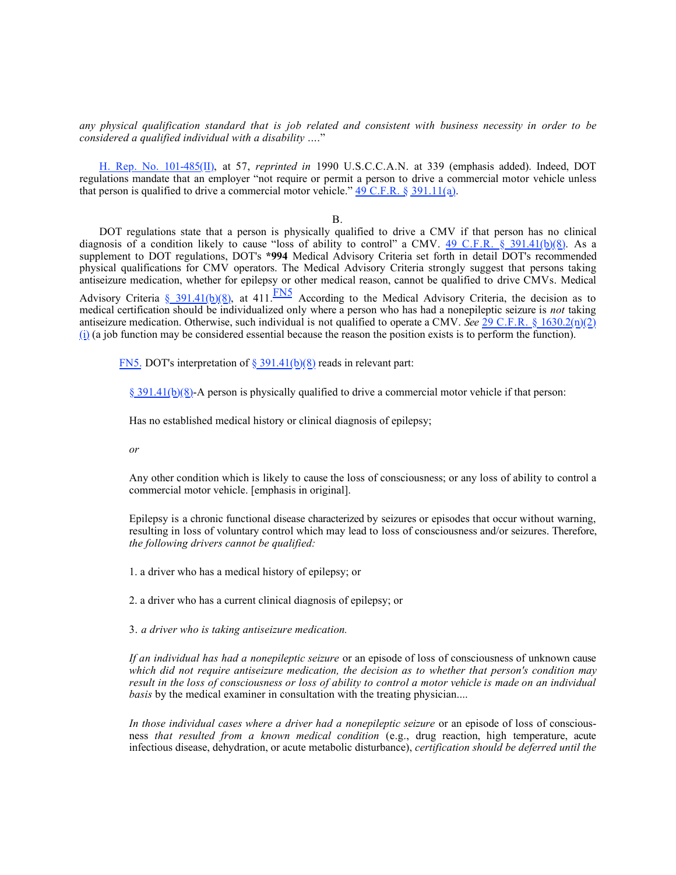*any physical qualification standard that is job related and consistent with business necessity in order to be considered a qualified individual with a disability* ...."

[H. Rep. No. 101-485\(II\),](http://www.westlaw.com/Find/Default.wl?rs=dfa1.0&vr=2.0&DB=0100014&DocName=HRREP101-485&FindType=Y) at 57, *reprinted in* 1990 U.S.C.C.A.N. at 339 (emphasis added). Indeed, DOT regulations mandate that an employer "not require or permit a person to drive a commercial motor vehicle unless that person is qualified to drive a commercial motor vehicle."  $49 \text{ C.F.R.}$  § 391.11(a).

B.

DOT regulations state that a person is physically qualified to drive a CMV if that person has no clinical diagnosis of a condition likely to cause "loss of ability to control" a CMV. [49 C.F.R. § 391.41\(b\)\(8\)](http://www.westlaw.com/Find/Default.wl?rs=dfa1.0&vr=2.0&DB=1000547&DocName=49CFRS391.41&FindType=L). As a supplement to DOT regulations, DOT's **\*994** Medical Advisory Criteria set forth in detail DOT's recommended physical qualifications for CMV operators. The Medical Advisory Criteria strongly suggest that persons taking antiseizure medication, whether for epilepsy or other medical reason, cannot be qualified to drive CMVs. Medical Advisory Criteria [§ 391.41\(b\)\(8\)](http://www.westlaw.com/Find/Default.wl?rs=dfa1.0&vr=2.0&DB=1000547&DocName=49CFRS391.41&FindType=L), at 411. [FN5](%5Cl%20%22Document1zzB00552001868118%22) According to the Medical Advisory Criteria, the decision as to medical certification should be individualized only where a person who has had a nonepileptic seizure is *not* taking antiseizure medication. Otherwise, such individual is not qualified to operate a CMV. *See* [29 C.F.R. § 1630.2\(n\)\(2\)](http://www.westlaw.com/Find/Default.wl?rs=dfa1.0&vr=2.0&DB=1000547&DocName=29CFRS1630.2&FindType=L)  $(i)$  (a job function may be considered essential because the reason the position exists is to perform the function).

[FN5.](%5Cl%20%22Document1zzF00552001868118%22) DOT's interpretation of [§ 391.41\(b\)\(8\)](http://www.westlaw.com/Find/Default.wl?rs=dfa1.0&vr=2.0&DB=1000547&DocName=49CFRS391.41&FindType=L) reads in relevant part:

[§ 391.41\(b\)\(8\)](http://www.westlaw.com/Find/Default.wl?rs=dfa1.0&vr=2.0&DB=1000547&DocName=49CFRS391.41&FindType=L)-A person is physically qualified to drive a commercial motor vehicle if that person:

Has no established medical history or clinical diagnosis of epilepsy;

*or*

Any other condition which is likely to cause the loss of consciousness; or any loss of ability to control a commercial motor vehicle. [emphasis in original].

Epilepsy is a chronic functional disease characterized by seizures or episodes that occur without warning, resulting in loss of voluntary control which may lead to loss of consciousness and/or seizures. Therefore, *the following drivers cannot be qualified:*

1. a driver who has a medical history of epilepsy; or

2. a driver who has a current clinical diagnosis of epilepsy; or

3. *a driver who is taking antiseizure medication.*

*If an individual has had a nonepileptic seizure* or an episode of loss of consciousness of unknown cause *which did not require antiseizure medication, the decision as to whether that person's condition may result in the loss of consciousness or loss of ability to control a motor vehicle is made on an individual basis* by the medical examiner in consultation with the treating physician....

*In those individual cases where a driver had a nonepileptic seizure* or an episode of loss of consciousness *that resulted from a known medical condition* (e.g., drug reaction, high temperature, acute infectious disease, dehydration, or acute metabolic disturbance), *certification should be deferred until the*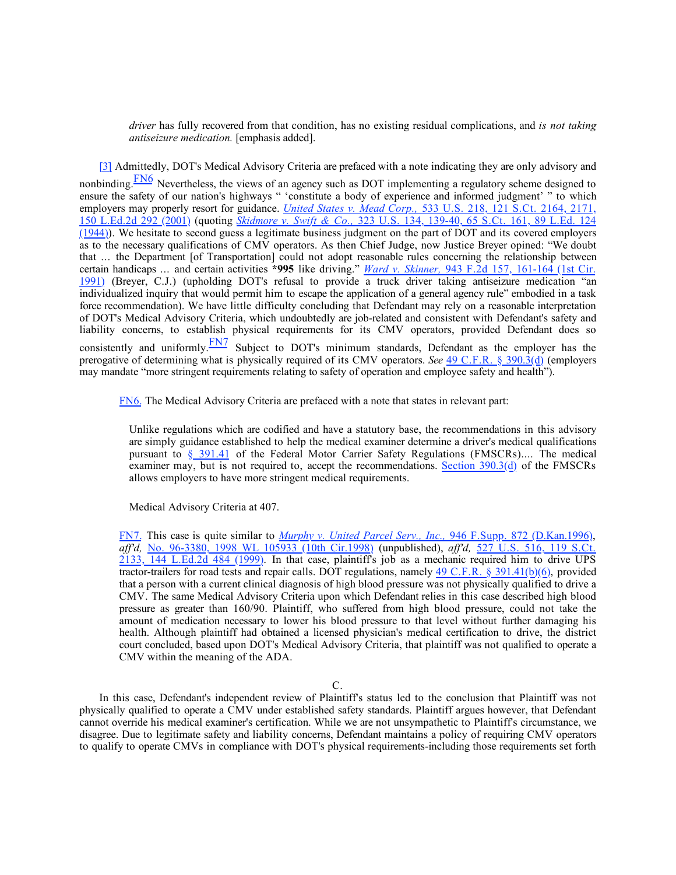*driver* has fully recovered from that condition, has no existing residual complications, and *is not taking antiseizure medication.* [emphasis added].

[\[3\]](%5Cl%20%22Document1zzF32001868118%22) Admittedly, DOT's Medical Advisory Criteria are prefaced with a note indicating they are only advisory and

nonbinding. [FN6](%5Cl%20%22Document1zzB00662001868118%22) Nevertheless, the views of an agency such as DOT implementing a regulatory scheme designed to ensure the safety of our nation's highways " 'constitute a body of experience and informed judgment' " to which employers may properly resort for guidance. *[United States v. Mead Corp.,](http://www.westlaw.com/Find/Default.wl?rs=dfa1.0&vr=2.0&DB=708&FindType=Y&ReferencePositionType=S&SerialNum=2001518724&ReferencePosition=2171)* [533 U.S. 218, 121 S.Ct. 2164, 2171,](http://www.westlaw.com/Find/Default.wl?rs=dfa1.0&vr=2.0&DB=708&FindType=Y&ReferencePositionType=S&SerialNum=2001518724&ReferencePosition=2171) [150 L.Ed.2d 292 \(2001\)](http://www.westlaw.com/Find/Default.wl?rs=dfa1.0&vr=2.0&DB=708&FindType=Y&ReferencePositionType=S&SerialNum=2001518724&ReferencePosition=2171) (quoting *[Skidmore v. Swift & Co.,](http://www.westlaw.com/Find/Default.wl?rs=dfa1.0&vr=2.0&DB=708&FindType=Y&SerialNum=1944117044)* [323 U.S. 134, 139-40, 65 S.Ct. 161, 89 L.Ed. 124](http://www.westlaw.com/Find/Default.wl?rs=dfa1.0&vr=2.0&DB=708&FindType=Y&SerialNum=1944117044) [\(1944\)](http://www.westlaw.com/Find/Default.wl?rs=dfa1.0&vr=2.0&DB=708&FindType=Y&SerialNum=1944117044)). We hesitate to second guess a legitimate business judgment on the part of DOT and its covered employers as to the necessary qualifications of CMV operators. As then Chief Judge, now Justice Breyer opined: "We doubt that ... the Department [of Transportation] could not adopt reasonable rules concerning the relationship between certain handicaps ... and certain activities **\*995** like driving." *[Ward v. Skinner,](http://www.westlaw.com/Find/Default.wl?rs=dfa1.0&vr=2.0&DB=350&FindType=Y&ReferencePositionType=S&SerialNum=1991151145&ReferencePosition=161)* [943 F.2d 157, 161-164 \(1st Cir.](http://www.westlaw.com/Find/Default.wl?rs=dfa1.0&vr=2.0&DB=350&FindType=Y&ReferencePositionType=S&SerialNum=1991151145&ReferencePosition=161) [1991\)](http://www.westlaw.com/Find/Default.wl?rs=dfa1.0&vr=2.0&DB=350&FindType=Y&ReferencePositionType=S&SerialNum=1991151145&ReferencePosition=161) (Breyer, C.J.) (upholding DOT's refusal to provide a truck driver taking antiseizure medication "an individualized inquiry that would permit him to escape the application of a general agency rule" embodied in a task force recommendation). We have little difficulty concluding that Defendant may rely on a reasonable interpretation of DOT's Medical Advisory Criteria, which undoubtedly are job-related and consistent with Defendant's safety and liability concerns, to establish physical requirements for its CMV operators, provided Defendant does so consistently and uniformly. $\frac{FN7}{FN7}$  $\frac{FN7}{FN7}$  $\frac{FN7}{FN7}$  Subject to DOT's minimum standards, Defendant as the employer has the prerogative of determining what is physically required of its CMV operators. *See* [49 C.F.R. § 390.3\(d\)](http://www.westlaw.com/Find/Default.wl?rs=dfa1.0&vr=2.0&DB=1000547&DocName=49CFRS390.3&FindType=L) (employers may mandate "more stringent requirements relating to safety of operation and employee safety and health").

[FN6.](%5Cl%20%22Document1zzF00662001868118%22) The Medical Advisory Criteria are prefaced with a note that states in relevant part:

Unlike regulations which are codified and have a statutory base, the recommendations in this advisory are simply guidance established to help the medical examiner determine a driver's medical qualifications pursuant to [§ 391.41](http://www.westlaw.com/Find/Default.wl?rs=dfa1.0&vr=2.0&DB=1000547&DocName=49CFRS391.41&FindType=L) of the Federal Motor Carrier Safety Regulations (FMSCRs).... The medical examiner may, but is not required to, accept the recommendations. [Section 390.3\(d\)](http://www.westlaw.com/Find/Default.wl?rs=dfa1.0&vr=2.0&DB=1000547&DocName=49CFRS390.3&FindType=L) of the FMSCRs allows employers to have more stringent medical requirements.

Medical Advisory Criteria at 407.

[FN7.](%5Cl%20%22Document1zzF00772001868118%22) This case is quite similar to *[Murphy v. United Parcel Serv., Inc.,](http://www.westlaw.com/Find/Default.wl?rs=dfa1.0&vr=2.0&DB=345&FindType=Y&SerialNum=1996269587)* [946 F.Supp. 872 \(D.Kan.1996\)](http://www.westlaw.com/Find/Default.wl?rs=dfa1.0&vr=2.0&DB=345&FindType=Y&SerialNum=1996269587), *aff'd,* [No. 96-3380, 1998 WL 105933 \(10th Cir.1998\)](http://www.westlaw.com/Find/Default.wl?rs=dfa1.0&vr=2.0&DB=999&FindType=Y&SerialNum=1998068841) (unpublished), *aff'd,* [527 U.S. 516, 119 S.Ct.](http://www.westlaw.com/Find/Default.wl?rs=dfa1.0&vr=2.0&DB=708&FindType=Y&SerialNum=1999146009) [2133, 144 L.Ed.2d 484 \(1999\).](http://www.westlaw.com/Find/Default.wl?rs=dfa1.0&vr=2.0&DB=708&FindType=Y&SerialNum=1999146009) In that case, plaintiff's job as a mechanic required him to drive UPS tractor-trailers for road tests and repair calls. DOT regulations, namely [49 C.F.R. § 391.41\(b\)\(6\),](http://www.westlaw.com/Find/Default.wl?rs=dfa1.0&vr=2.0&DB=1000547&DocName=49CFRS391.41&FindType=L) provided that a person with a current clinical diagnosis of high blood pressure was not physically qualified to drive a CMV. The same Medical Advisory Criteria upon which Defendant relies in this case described high blood pressure as greater than 160/90. Plaintiff, who suffered from high blood pressure, could not take the amount of medication necessary to lower his blood pressure to that level without further damaging his health. Although plaintiff had obtained a licensed physician's medical certification to drive, the district court concluded, based upon DOT's Medical Advisory Criteria, that plaintiff was not qualified to operate a CMV within the meaning of the ADA.

In this case, Defendant's independent review of Plaintiff's status led to the conclusion that Plaintiff was not physically qualified to operate a CMV under established safety standards. Plaintiff argues however, that Defendant cannot override his medical examiner's certification. While we are not unsympathetic to Plaintiff's circumstance, we disagree. Due to legitimate safety and liability concerns, Defendant maintains a policy of requiring CMV operators to qualify to operate CMVs in compliance with DOT's physical requirements-including those requirements set forth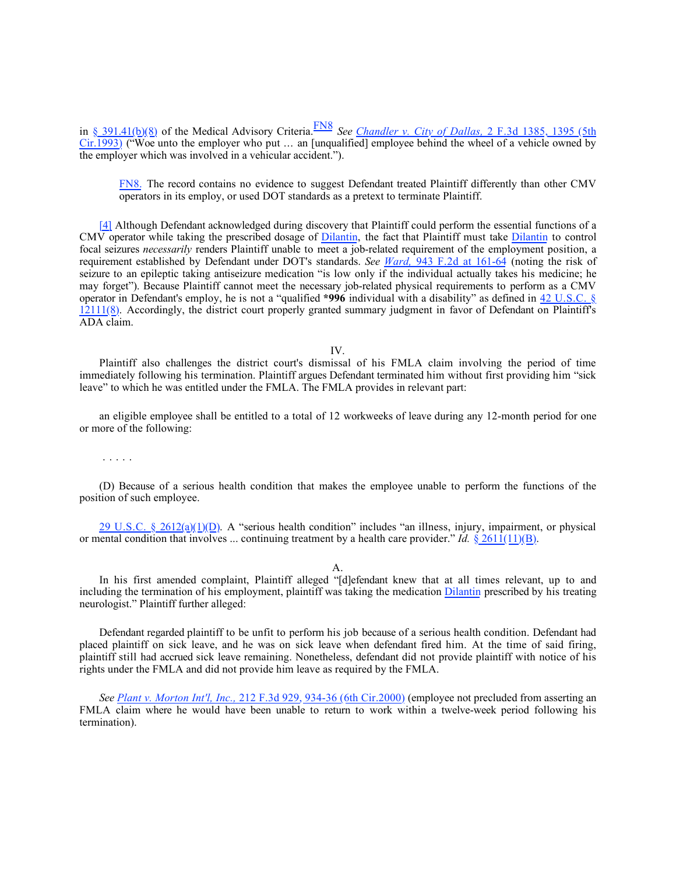in [§ 391.41\(b\)\(8\)](http://www.westlaw.com/Find/Default.wl?rs=dfa1.0&vr=2.0&DB=1000547&DocName=49CFRS391.41&FindType=L) of the Medical Advisory Criteria.[FN8](%5Cl%20%22Document1zzB00882001868118%22) *See [Chandler v. City of Dallas,](http://www.westlaw.com/Find/Default.wl?rs=dfa1.0&vr=2.0&DB=506&FindType=Y&ReferencePositionType=S&SerialNum=1993178746&ReferencePosition=1395)* [2 F.3d 1385, 1395 \(5th](http://www.westlaw.com/Find/Default.wl?rs=dfa1.0&vr=2.0&DB=506&FindType=Y&ReferencePositionType=S&SerialNum=1993178746&ReferencePosition=1395) [Cir.1993\)](http://www.westlaw.com/Find/Default.wl?rs=dfa1.0&vr=2.0&DB=506&FindType=Y&ReferencePositionType=S&SerialNum=1993178746&ReferencePosition=1395) ("Woe unto the employer who put ... an [unqualified] employee behind the wheel of a vehicle owned by the employer which was involved in a vehicular accident.").

[FN8.](%5Cl%20%22Document1zzF00882001868118%22) The record contains no evidence to suggest Defendant treated Plaintiff differently than other CMV operators in its employ, or used DOT standards as a pretext to terminate Plaintiff.

[\[4\]](%5Cl%20%22Document1zzF42001868118%22) Although Defendant acknowledged during discovery that Plaintiff could perform the essential functions of a CMV operator while taking the prescribed dosage of [Dilantin](http://www.westlaw.com/Find/Default.wl?rs=dfa1.0&vr=2.0&CMD=ML&DocName=I396eb00e475111db9765f9243f53508a&FindType=BD), the fact that Plaintiff must take [Dilantin](http://www.westlaw.com/Find/Default.wl?rs=dfa1.0&vr=2.0&CMD=ML&DocName=I396eb00e475111db9765f9243f53508a&FindType=BD) to control focal seizures *necessarily* renders Plaintiff unable to meet a job-related requirement of the employment position, a requirement established by Defendant under DOT's standards. *See [Ward,](http://www.westlaw.com/Find/Default.wl?rs=dfa1.0&vr=2.0&DB=350&FindType=Y&ReferencePositionType=S&SerialNum=1991151145&ReferencePosition=161)* [943 F.2d at 161-64](http://www.westlaw.com/Find/Default.wl?rs=dfa1.0&vr=2.0&DB=350&FindType=Y&ReferencePositionType=S&SerialNum=1991151145&ReferencePosition=161) (noting the risk of seizure to an epileptic taking antiseizure medication "is low only if the individual actually takes his medicine; he may forget"). Because Plaintiff cannot meet the necessary job-related physical requirements to perform as a CMV operator in Defendant's employ, he is not a "qualified **\*996** individual with a disability" as defined in [42 U.S.C. §](http://www.westlaw.com/Find/Default.wl?rs=dfa1.0&vr=2.0&DB=1000546&DocName=42USCAS12111&FindType=L) [12111\(8\)](http://www.westlaw.com/Find/Default.wl?rs=dfa1.0&vr=2.0&DB=1000546&DocName=42USCAS12111&FindType=L). Accordingly, the district court properly granted summary judgment in favor of Defendant on Plaintiff's ADA claim.

IV.

Plaintiff also challenges the district court's dismissal of his FMLA claim involving the period of time immediately following his termination. Plaintiff argues Defendant terminated him without first providing him "sick leave" to which he was entitled under the FMLA. The FMLA provides in relevant part:

an eligible employee shall be entitled to a total of 12 workweeks of leave during any 12-month period for one or more of the following:

. . . . .

(D) Because of a serious health condition that makes the employee unable to perform the functions of the position of such employee.

[29 U.S.C. § 2612\(a\)\(1\)\(D\)](http://www.westlaw.com/Find/Default.wl?rs=dfa1.0&vr=2.0&DB=1000546&DocName=29USCAS2612&FindType=L). A "serious health condition" includes "an illness, injury, impairment, or physical or mental condition that involves ... continuing treatment by a health care provider." *Id.* [§ 2611\(11\)\(B\)](http://www.westlaw.com/Find/Default.wl?rs=dfa1.0&vr=2.0&DB=1000546&DocName=29USCAS2611&FindType=L).

A.

In his first amended complaint, Plaintiff alleged "[d]efendant knew that at all times relevant, up to and including the termination of his employment, plaintiff was taking the medication [Dilantin](http://www.westlaw.com/Find/Default.wl?rs=dfa1.0&vr=2.0&CMD=ML&DocName=I396eb00e475111db9765f9243f53508a&FindType=BD) prescribed by his treating neurologist." Plaintiff further alleged:

Defendant regarded plaintiff to be unfit to perform his job because of a serious health condition. Defendant had placed plaintiff on sick leave, and he was on sick leave when defendant fired him. At the time of said firing, plaintiff still had accrued sick leave remaining. Nonetheless, defendant did not provide plaintiff with notice of his rights under the FMLA and did not provide him leave as required by the FMLA.

*See [Plant v. Morton Int'l, Inc.,](http://www.westlaw.com/Find/Default.wl?rs=dfa1.0&vr=2.0&DB=506&FindType=Y&ReferencePositionType=S&SerialNum=2000308011&ReferencePosition=934)* [212 F.3d 929, 934-36 \(6th Cir.2000\)](http://www.westlaw.com/Find/Default.wl?rs=dfa1.0&vr=2.0&DB=506&FindType=Y&ReferencePositionType=S&SerialNum=2000308011&ReferencePosition=934) (employee not precluded from asserting an FMLA claim where he would have been unable to return to work within a twelve-week period following his termination).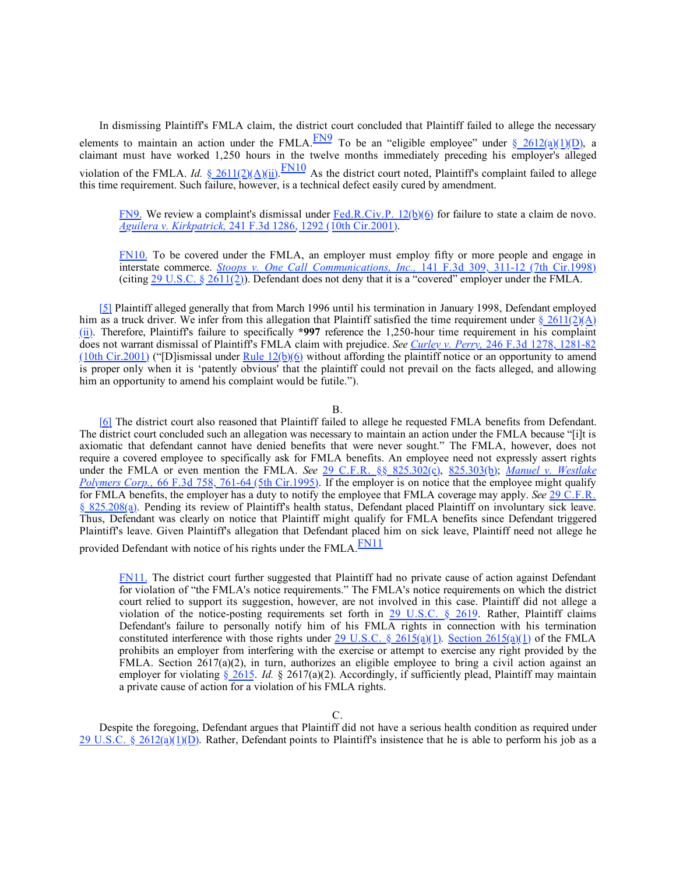In dismissing Plaintiff's FMLA claim, the district court concluded that Plaintiff failed to allege the necessary elements to maintain an action under the FMLA.  $\frac{FN9}{FN}$  $\frac{FN9}{FN}$  $\frac{FN9}{FN}$  To be an "eligible employee" under [§ 2612\(a\)\(1\)\(D\),](http://www.westlaw.com/Find/Default.wl?rs=dfa1.0&vr=2.0&DB=1000546&DocName=29USCAS2612&FindType=L) a claimant must have worked 1,250 hours in the twelve months immediately preceding his employer's alleged violation of the FMLA. *Id.* [§ 2611\(2\)\(A\)\(ii\).](http://www.westlaw.com/Find/Default.wl?rs=dfa1.0&vr=2.0&DB=1000546&DocName=29USCAS2611&FindType=L)  $\frac{FN10}{FN}$  As the district court noted, Plaintiff's complaint failed to allege this time requirement. Such failure, however, is a technical defect easily cured by amendment.

[FN9.](%5Cl%20%22Document1zzF00992001868118%22) We review a complaint's dismissal under [Fed.R.Civ.P. 12\(b\)\(6\)](http://www.westlaw.com/Find/Default.wl?rs=dfa1.0&vr=2.0&DB=1004365&DocName=USFRCPR12&FindType=L) for failure to state a claim de novo. *[Aguilera v. Kirkpatrick,](http://www.westlaw.com/Find/Default.wl?rs=dfa1.0&vr=2.0&DB=506&FindType=Y&ReferencePositionType=S&SerialNum=2001194220&ReferencePosition=1292)* [241 F.3d 1286, 1292 \(10th Cir.2001\)](http://www.westlaw.com/Find/Default.wl?rs=dfa1.0&vr=2.0&DB=506&FindType=Y&ReferencePositionType=S&SerialNum=2001194220&ReferencePosition=1292).

[FN10.](%5Cl%20%22Document1zzF010102001868118%22) To be covered under the FMLA, an employer must employ fifty or more people and engage in interstate commerce. *[Stoops v. One Call Communications, Inc.,](http://www.westlaw.com/Find/Default.wl?rs=dfa1.0&vr=2.0&DB=506&FindType=Y&ReferencePositionType=S&SerialNum=1998080040&ReferencePosition=311)* [141 F.3d 309, 311-12 \(7th Cir.1998\)](http://www.westlaw.com/Find/Default.wl?rs=dfa1.0&vr=2.0&DB=506&FindType=Y&ReferencePositionType=S&SerialNum=1998080040&ReferencePosition=311) (citing  $29 \text{ U.S.C.} \& 2611(2)$ ). Defendant does not deny that it is a "covered" employer under the FMLA.

[\[5\]](%5Cl%20%22Document1zzF52001868118%22) Plaintiff alleged generally that from March 1996 until his termination in January 1998, Defendant employed him as a truck driver. We infer from this allegation that Plaintiff satisfied the time requirement under  $\S$  2611(2)(A) [\(ii\)](http://www.westlaw.com/Find/Default.wl?rs=dfa1.0&vr=2.0&DB=1000546&DocName=29USCAS2611&FindType=L). Therefore, Plaintiff's failure to specifically **\*997** reference the 1,250-hour time requirement in his complaint does not warrant dismissal of Plaintiff's FMLA claim with prejudice. *See [Curley v. Perry,](http://www.westlaw.com/Find/Default.wl?rs=dfa1.0&vr=2.0&DB=506&FindType=Y&ReferencePositionType=S&SerialNum=2001322654&ReferencePosition=1281)* [246 F.3d 1278, 1281-82](http://www.westlaw.com/Find/Default.wl?rs=dfa1.0&vr=2.0&DB=506&FindType=Y&ReferencePositionType=S&SerialNum=2001322654&ReferencePosition=1281)  $(10th$  Cir.2001) ("[D]ismissal under [Rule 12\(b\)\(6\)](http://www.westlaw.com/Find/Default.wl?rs=dfa1.0&vr=2.0&DB=1004365&DocName=USFRCPR12&FindType=L) without affording the plaintiff notice or an opportunity to amend is proper only when it is 'patently obvious' that the plaintiff could not prevail on the facts alleged, and allowing him an opportunity to amend his complaint would be futile.").

### B.

[\[6\]](%5Cl%20%22Document1zzF62001868118%22) The district court also reasoned that Plaintiff failed to allege he requested FMLA benefits from Defendant. The district court concluded such an allegation was necessary to maintain an action under the FMLA because "[i]t is axiomatic that defendant cannot have denied benefits that were never sought." The FMLA, however, does not require a covered employee to specifically ask for FMLA benefits. An employee need not expressly assert rights under the FMLA or even mention the FMLA. *See* [29 C.F.R. §§ 825.302\(c\),](http://www.westlaw.com/Find/Default.wl?rs=dfa1.0&vr=2.0&DB=1000547&DocName=29CFRS825.302&FindType=L) [825.303\(b\);](http://www.westlaw.com/Find/Default.wl?rs=dfa1.0&vr=2.0&DB=1000547&DocName=29CFRS825.303&FindType=L) *[Manuel v. Westlake](http://www.westlaw.com/Find/Default.wl?rs=dfa1.0&vr=2.0&DB=506&FindType=Y&ReferencePositionType=S&SerialNum=1995198192&ReferencePosition=761) [Polymers Corp.,](http://www.westlaw.com/Find/Default.wl?rs=dfa1.0&vr=2.0&DB=506&FindType=Y&ReferencePositionType=S&SerialNum=1995198192&ReferencePosition=761)* [66 F.3d 758, 761-64 \(5th Cir.1995\).](http://www.westlaw.com/Find/Default.wl?rs=dfa1.0&vr=2.0&DB=506&FindType=Y&ReferencePositionType=S&SerialNum=1995198192&ReferencePosition=761) If the employer is on notice that the employee might qualify for FMLA benefits, the employer has a duty to notify the employee that FMLA coverage may apply. *See* [29 C.F.R.](http://www.westlaw.com/Find/Default.wl?rs=dfa1.0&vr=2.0&DB=1000547&DocName=29CFRS825.208&FindType=L) [§ 825.208\(a\).](http://www.westlaw.com/Find/Default.wl?rs=dfa1.0&vr=2.0&DB=1000547&DocName=29CFRS825.208&FindType=L) Pending its review of Plaintiff's health status, Defendant placed Plaintiff on involuntary sick leave. Thus, Defendant was clearly on notice that Plaintiff might qualify for FMLA benefits since Defendant triggered Plaintiff's leave. Given Plaintiff's allegation that Defendant placed him on sick leave, Plaintiff need not allege he

provided Defendant with notice of his rights under the FMLA. $\frac{\text{FN}11}{\text{FN}11}$ 

[FN11.](%5Cl%20%22Document1zzF011112001868118%22) The district court further suggested that Plaintiff had no private cause of action against Defendant for violation of "the FMLA's notice requirements." The FMLA's notice requirements on which the district court relied to support its suggestion, however, are not involved in this case. Plaintiff did not allege a violation of the notice-posting requirements set forth in [29 U.S.C. § 2619.](http://www.westlaw.com/Find/Default.wl?rs=dfa1.0&vr=2.0&DB=1000546&DocName=29USCAS2619&FindType=L) Rather, Plaintiff claims Defendant's failure to personally notify him of his FMLA rights in connection with his termination constituted interference with those rights under  $29 \text{ U.S.C.}$  §  $2615(a)(1)$ . Section  $2615(a)(1)$  of the FMLA prohibits an employer from interfering with the exercise or attempt to exercise any right provided by the FMLA. Section 2617(a)(2), in turn, authorizes an eligible employee to bring a civil action against an employer for violating [§ 2615.](http://www.westlaw.com/Find/Default.wl?rs=dfa1.0&vr=2.0&DB=1000546&DocName=29USCAS2615&FindType=L) *Id.* § 2617(a)(2). Accordingly, if sufficiently plead, Plaintiff may maintain a private cause of action for a violation of his FMLA rights.

C.

Despite the foregoing, Defendant argues that Plaintiff did not have a serious health condition as required under 29 U.S.C. §  $2612(a)(1)(D)$ . Rather, Defendant points to Plaintiff's insistence that he is able to perform his job as a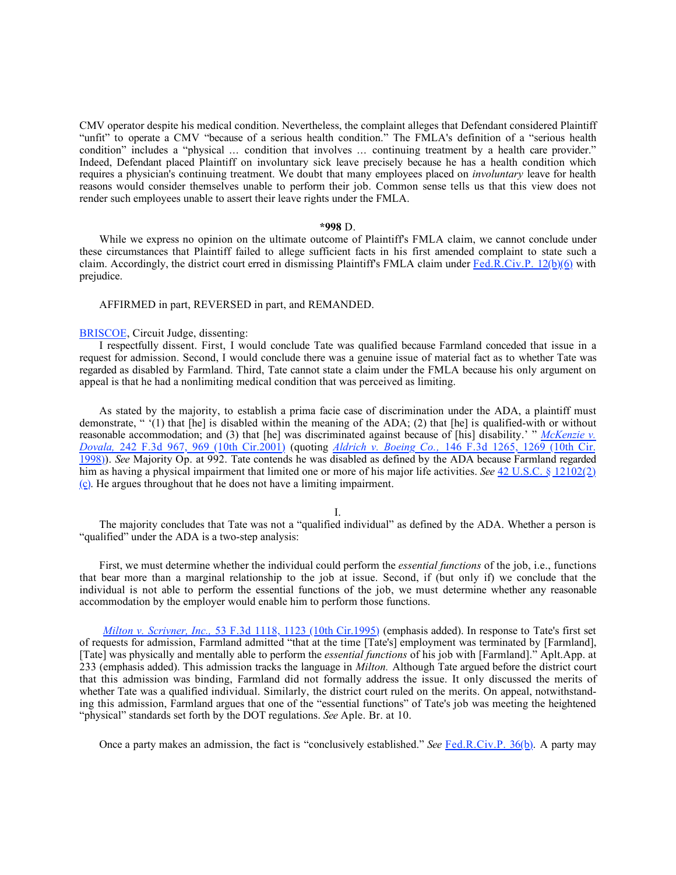CMV operator despite his medical condition. Nevertheless, the complaint alleges that Defendant considered Plaintiff "unfit" to operate a CMV "because of a serious health condition." The FMLA's definition of a "serious health condition" includes a "physical ... condition that involves ... continuing treatment by a health care provider." Indeed, Defendant placed Plaintiff on involuntary sick leave precisely because he has a health condition which requires a physician's continuing treatment. We doubt that many employees placed on *involuntary* leave for health reasons would consider themselves unable to perform their job. Common sense tells us that this view does not render such employees unable to assert their leave rights under the FMLA.

#### **\*998** D.

While we express no opinion on the ultimate outcome of Plaintiff's FMLA claim, we cannot conclude under these circumstances that Plaintiff failed to allege sufficient facts in his first amended complaint to state such a claim. Accordingly, the district court erred in dismissing Plaintiff's FMLA claim under [Fed.R.Civ.P. 12\(b\)\(6\)](http://www.westlaw.com/Find/Default.wl?rs=dfa1.0&vr=2.0&DB=1004365&DocName=USFRCPR12&FindType=L) with prejudice.

## AFFIRMED in part, REVERSED in part, and REMANDED.

## [BRISCOE](http://www.westlaw.com/Find/Default.wl?rs=dfa1.0&vr=2.0&DB=PROFILER-WLD&DocName=0244155901&FindType=h), Circuit Judge, dissenting:

I respectfully dissent. First, I would conclude Tate was qualified because Farmland conceded that issue in a request for admission. Second, I would conclude there was a genuine issue of material fact as to whether Tate was regarded as disabled by Farmland. Third, Tate cannot state a claim under the FMLA because his only argument on appeal is that he had a nonlimiting medical condition that was perceived as limiting.

As stated by the majority, to establish a prima facie case of discrimination under the ADA, a plaintiff must demonstrate, " '(1) that [he] is disabled within the meaning of the ADA; (2) that [he] is qualified-with or without reasonable accommodation; and (3) that [he] was discriminated against because of [his] disability.' " *[McKenzie v.](http://www.westlaw.com/Find/Default.wl?rs=dfa1.0&vr=2.0&DB=506&FindType=Y&ReferencePositionType=S&SerialNum=2001211816&ReferencePosition=969) [Dovala,](http://www.westlaw.com/Find/Default.wl?rs=dfa1.0&vr=2.0&DB=506&FindType=Y&ReferencePositionType=S&SerialNum=2001211816&ReferencePosition=969)* [242 F.3d 967, 969 \(10th Cir.2001\)](http://www.westlaw.com/Find/Default.wl?rs=dfa1.0&vr=2.0&DB=506&FindType=Y&ReferencePositionType=S&SerialNum=2001211816&ReferencePosition=969) (quoting *[Aldrich v. Boeing Co.,](http://www.westlaw.com/Find/Default.wl?rs=dfa1.0&vr=2.0&DB=506&FindType=Y&ReferencePositionType=S&SerialNum=1998137239&ReferencePosition=1269)* [146 F.3d 1265, 1269 \(10th Cir.](http://www.westlaw.com/Find/Default.wl?rs=dfa1.0&vr=2.0&DB=506&FindType=Y&ReferencePositionType=S&SerialNum=1998137239&ReferencePosition=1269) [1998\)](http://www.westlaw.com/Find/Default.wl?rs=dfa1.0&vr=2.0&DB=506&FindType=Y&ReferencePositionType=S&SerialNum=1998137239&ReferencePosition=1269)). *See* Majority Op. at 992. Tate contends he was disabled as defined by the ADA because Farmland regarded him as having a physical impairment that limited one or more of his major life activities. *See* [42 U.S.C. § 12102\(2\)](http://www.westlaw.com/Find/Default.wl?rs=dfa1.0&vr=2.0&DB=1000546&DocName=42USCAS12102&FindType=L) [\(c\)](http://www.westlaw.com/Find/Default.wl?rs=dfa1.0&vr=2.0&DB=1000546&DocName=42USCAS12102&FindType=L). He argues throughout that he does not have a limiting impairment.

### I.

The majority concludes that Tate was not a "qualified individual" as defined by the ADA. Whether a person is "qualified" under the ADA is a two-step analysis:

First, we must determine whether the individual could perform the *essential functions* of the job, i.e., functions that bear more than a marginal relationship to the job at issue. Second, if (but only if) we conclude that the individual is not able to perform the essential functions of the job, we must determine whether any reasonable accommodation by the employer would enable him to perform those functions.

*[Milton v. Scrivner, Inc.,](http://www.westlaw.com/Find/Default.wl?rs=dfa1.0&vr=2.0&DB=506&FindType=Y&ReferencePositionType=S&SerialNum=1995095628&ReferencePosition=1123)* [53 F.3d 1118, 1123 \(10th Cir.1995\)](http://www.westlaw.com/Find/Default.wl?rs=dfa1.0&vr=2.0&DB=506&FindType=Y&ReferencePositionType=S&SerialNum=1995095628&ReferencePosition=1123) (emphasis added). In response to Tate's first set of requests for admission, Farmland admitted "that at the time [Tate's] employment was terminated by [Farmland], [Tate] was physically and mentally able to perform the *essential functions* of his job with [Farmland]." Aplt.App. at 233 (emphasis added). This admission tracks the language in *Milton.* Although Tate argued before the district court that this admission was binding, Farmland did not formally address the issue. It only discussed the merits of whether Tate was a qualified individual. Similarly, the district court ruled on the merits. On appeal, notwithstanding this admission, Farmland argues that one of the "essential functions" of Tate's job was meeting the heightened "physical" standards set forth by the DOT regulations. *See* Aple. Br. at 10.

Once a party makes an admission, the fact is "conclusively established." *See* [Fed.R.Civ.P. 36\(b\).](http://www.westlaw.com/Find/Default.wl?rs=dfa1.0&vr=2.0&DB=1004365&DocName=USFRCPR36&FindType=L) A party may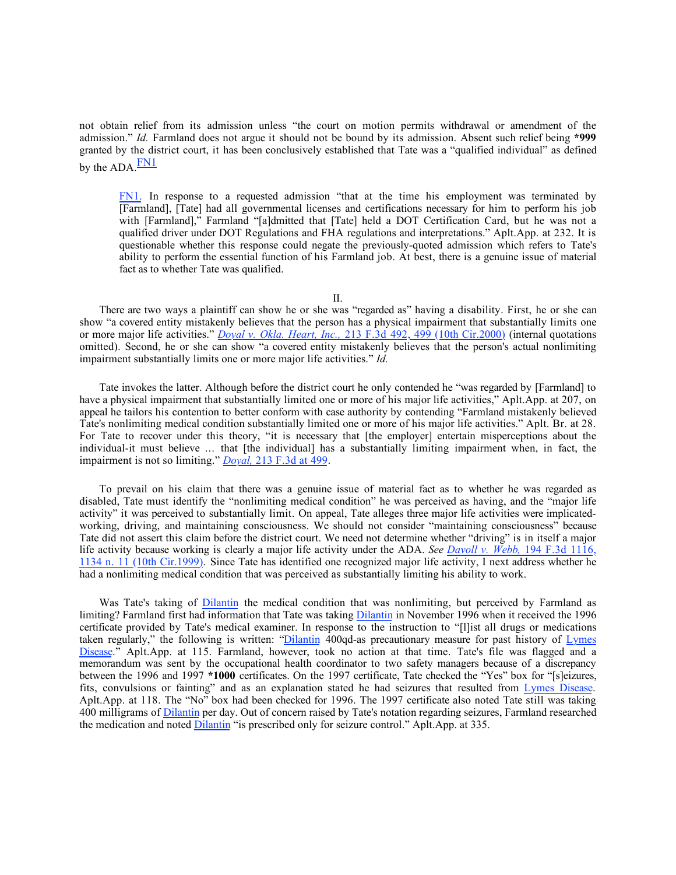not obtain relief from its admission unless "the court on motion permits withdrawal or amendment of the admission." *Id.* Farmland does not argue it should not be bound by its admission. Absent such relief being **\*999** granted by the district court, it has been conclusively established that Tate was a "qualified individual" as defined by the ADA. $\frac{FN1}{FN}$  $\frac{FN1}{FN}$  $\frac{FN1}{FN}$ 

[FN1.](%5Cl%20%22Document1zzF01212001868118%22) In response to a requested admission "that at the time his employment was terminated by [Farmland], [Tate] had all governmental licenses and certifications necessary for him to perform his job with [Farmland]," Farmland "[a]dmitted that [Tate] held a DOT Certification Card, but he was not a qualified driver under DOT Regulations and FHA regulations and interpretations." Aplt.App. at 232. It is questionable whether this response could negate the previously-quoted admission which refers to Tate's ability to perform the essential function of his Farmland job. At best, there is a genuine issue of material fact as to whether Tate was qualified.

II.

There are two ways a plaintiff can show he or she was "regarded as" having a disability. First, he or she can show "a covered entity mistakenly believes that the person has a physical impairment that substantially limits one or more major life activities." *[Doyal v. Okla. Heart, Inc.,](http://www.westlaw.com/Find/Default.wl?rs=dfa1.0&vr=2.0&DB=506&FindType=Y&ReferencePositionType=S&SerialNum=2000356046&ReferencePosition=499)* [213 F.3d 492, 499 \(10th Cir.2000\)](http://www.westlaw.com/Find/Default.wl?rs=dfa1.0&vr=2.0&DB=506&FindType=Y&ReferencePositionType=S&SerialNum=2000356046&ReferencePosition=499) (internal quotations omitted). Second, he or she can show "a covered entity mistakenly believes that the person's actual nonlimiting impairment substantially limits one or more major life activities." *Id.*

Tate invokes the latter. Although before the district court he only contended he "was regarded by [Farmland] to have a physical impairment that substantially limited one or more of his major life activities," Aplt.App. at 207, on appeal he tailors his contention to better conform with case authority by contending "Farmland mistakenly believed Tate's nonlimiting medical condition substantially limited one or more of his major life activities." Aplt. Br. at 28. For Tate to recover under this theory, "it is necessary that [the employer] entertain misperceptions about the individual-it must believe ... that [the individual] has a substantially limiting impairment when, in fact, the impairment is not so limiting." *[Doyal,](http://www.westlaw.com/Find/Default.wl?rs=dfa1.0&vr=2.0&DB=506&FindType=Y&ReferencePositionType=S&SerialNum=2000356046&ReferencePosition=499)* [213 F.3d at 499](http://www.westlaw.com/Find/Default.wl?rs=dfa1.0&vr=2.0&DB=506&FindType=Y&ReferencePositionType=S&SerialNum=2000356046&ReferencePosition=499).

To prevail on his claim that there was a genuine issue of material fact as to whether he was regarded as disabled, Tate must identify the "nonlimiting medical condition" he was perceived as having, and the "major life activity" it was perceived to substantially limit. On appeal, Tate alleges three major life activities were implicatedworking, driving, and maintaining consciousness. We should not consider "maintaining consciousness" because Tate did not assert this claim before the district court. We need not determine whether "driving" is in itself a major life activity because working is clearly a major life activity under the ADA. *See [Davoll v. Webb,](http://www.westlaw.com/Find/Default.wl?rs=dfa1.0&vr=2.0&DB=506&FindType=Y&ReferencePositionType=S&SerialNum=1999239734&ReferencePosition=1134)* [194 F.3d 1116,](http://www.westlaw.com/Find/Default.wl?rs=dfa1.0&vr=2.0&DB=506&FindType=Y&ReferencePositionType=S&SerialNum=1999239734&ReferencePosition=1134) [1134 n. 11 \(10th Cir.1999\)](http://www.westlaw.com/Find/Default.wl?rs=dfa1.0&vr=2.0&DB=506&FindType=Y&ReferencePositionType=S&SerialNum=1999239734&ReferencePosition=1134). Since Tate has identified one recognized major life activity, I next address whether he had a nonlimiting medical condition that was perceived as substantially limiting his ability to work.

Was Tate's taking of [Dilantin](http://www.westlaw.com/Find/Default.wl?rs=dfa1.0&vr=2.0&CMD=ML&DocName=I396eb00e475111db9765f9243f53508a&FindType=BD) the medical condition that was nonlimiting, but perceived by Farmland as limiting? Farmland first had information that Tate was taking [Dilantin](http://www.westlaw.com/Find/Default.wl?rs=dfa1.0&vr=2.0&CMD=ML&DocName=I396eb00e475111db9765f9243f53508a&FindType=BD) in November 1996 when it received the 1996 certificate provided by Tate's medical examiner. In response to the instruction to "[l]ist all drugs or medications taken regularly," the following is written: ["Dilantin](http://www.westlaw.com/Find/Default.wl?rs=dfa1.0&vr=2.0&CMD=ML&DocName=I396eb00e475111db9765f9243f53508a&FindType=BD) 400qd-as precautionary measure for past history of [Lymes](http://www.westlaw.com/Find/Default.wl?rs=dfa1.0&vr=2.0&CMD=ML&DocName=Ib21fe02a475411db9765f9243f53508a&FindType=UM) [Disease](http://www.westlaw.com/Find/Default.wl?rs=dfa1.0&vr=2.0&CMD=ML&DocName=Ib21fe02a475411db9765f9243f53508a&FindType=UM)." Aplt.App. at 115. Farmland, however, took no action at that time. Tate's file was flagged and a memorandum was sent by the occupational health coordinator to two safety managers because of a discrepancy between the 1996 and 1997 **\*1000** certificates. On the 1997 certificate, Tate checked the "Yes" box for "[s]eizures, fits, convulsions or fainting" and as an explanation stated he had seizures that resulted from [Lymes Disease](http://www.westlaw.com/Find/Default.wl?rs=dfa1.0&vr=2.0&CMD=ML&DocName=Ib21fe02a475411db9765f9243f53508a&FindType=UM). Aplt.App. at 118. The "No" box had been checked for 1996. The 1997 certificate also noted Tate still was taking 400 milligrams of [Dilantin](http://www.westlaw.com/Find/Default.wl?rs=dfa1.0&vr=2.0&CMD=ML&DocName=I396eb00e475111db9765f9243f53508a&FindType=BD) per day. Out of concern raised by Tate's notation regarding seizures, Farmland researched the medication and noted [Dilantin](http://www.westlaw.com/Find/Default.wl?rs=dfa1.0&vr=2.0&CMD=ML&DocName=I396eb00e475111db9765f9243f53508a&FindType=BD) "is prescribed only for seizure control." Aplt.App. at 335.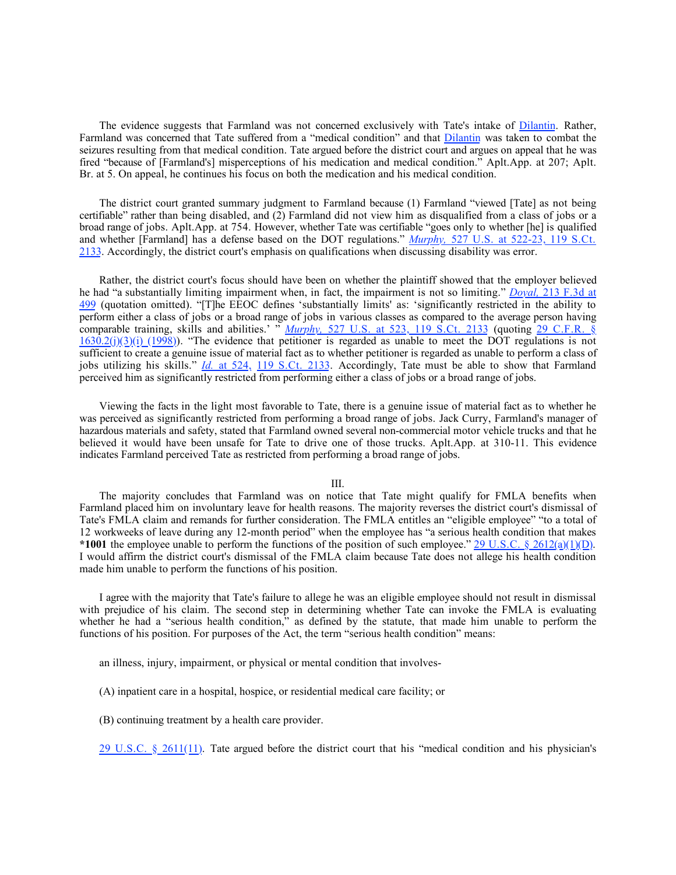The evidence suggests that Farmland was not concerned exclusively with Tate's intake of [Dilantin](http://www.westlaw.com/Find/Default.wl?rs=dfa1.0&vr=2.0&CMD=ML&DocName=I396eb00e475111db9765f9243f53508a&FindType=BD). Rather, Farmland was concerned that Tate suffered from a "medical condition" and that [Dilantin](http://www.westlaw.com/Find/Default.wl?rs=dfa1.0&vr=2.0&CMD=ML&DocName=I396eb00e475111db9765f9243f53508a&FindType=BD) was taken to combat the seizures resulting from that medical condition. Tate argued before the district court and argues on appeal that he was fired "because of [Farmland's] misperceptions of his medication and medical condition." Aplt.App. at 207; Aplt. Br. at 5. On appeal, he continues his focus on both the medication and his medical condition.

The district court granted summary judgment to Farmland because (1) Farmland "viewed [Tate] as not being certifiable" rather than being disabled, and (2) Farmland did not view him as disqualified from a class of jobs or a broad range of jobs. Aplt.App. at 754. However, whether Tate was certifiable "goes only to whether [he] is qualified and whether [Farmland] has a defense based on the DOT regulations." *[Murphy,](http://www.westlaw.com/Find/Default.wl?rs=dfa1.0&vr=2.0&DB=708&FindType=Y&SerialNum=1999146009)* [527 U.S. at 522-23, 119 S.Ct.](http://www.westlaw.com/Find/Default.wl?rs=dfa1.0&vr=2.0&DB=708&FindType=Y&SerialNum=1999146009)  [2133](http://www.westlaw.com/Find/Default.wl?rs=dfa1.0&vr=2.0&DB=708&FindType=Y&SerialNum=1999146009). Accordingly, the district court's emphasis on qualifications when discussing disability was error.

Rather, the district court's focus should have been on whether the plaintiff showed that the employer believed he had "a substantially limiting impairment when, in fact, the impairment is not so limiting." *[Doyal,](http://www.westlaw.com/Find/Default.wl?rs=dfa1.0&vr=2.0&DB=506&FindType=Y&ReferencePositionType=S&SerialNum=2000356046&ReferencePosition=499)* [213 F.3d at](http://www.westlaw.com/Find/Default.wl?rs=dfa1.0&vr=2.0&DB=506&FindType=Y&ReferencePositionType=S&SerialNum=2000356046&ReferencePosition=499) [499](http://www.westlaw.com/Find/Default.wl?rs=dfa1.0&vr=2.0&DB=506&FindType=Y&ReferencePositionType=S&SerialNum=2000356046&ReferencePosition=499) (quotation omitted). "[T]he EEOC defines 'substantially limits' as: 'significantly restricted in the ability to perform either a class of jobs or a broad range of jobs in various classes as compared to the average person having comparable training, skills and abilities.' " *Murphy*, [527 U.S. at 523, 119 S.Ct. 2133](http://www.westlaw.com/Find/Default.wl?rs=dfa1.0&vr=2.0&DB=708&FindType=Y&SerialNum=1999146009) (quoting [29 C.F.R. §](http://www.westlaw.com/Find/Default.wl?rs=dfa1.0&vr=2.0&DB=1000547&DocName=29CFRS1630.2&FindType=L)  $1630.2(j)(3)(i)$  (1998)). "The evidence that petitioner is regarded as unable to meet the DOT regulations is not sufficient to create a genuine issue of material fact as to whether petitioner is regarded as unable to perform a class of jobs utilizing his skills." *[Id.](http://www.westlaw.com/Find/Default.wl?rs=dfa1.0&vr=2.0&FindType=Y&SerialNum=1999146009)* [at 524,](http://www.westlaw.com/Find/Default.wl?rs=dfa1.0&vr=2.0&FindType=Y&SerialNum=1999146009) [119 S.Ct. 2133](http://www.westlaw.com/Find/Default.wl?rs=dfa1.0&vr=2.0&DB=708&FindType=Y&SerialNum=1999146009). Accordingly, Tate must be able to show that Farmland perceived him as significantly restricted from performing either a class of jobs or a broad range of jobs.

Viewing the facts in the light most favorable to Tate, there is a genuine issue of material fact as to whether he was perceived as significantly restricted from performing a broad range of jobs. Jack Curry, Farmland's manager of hazardous materials and safety, stated that Farmland owned several non-commercial motor vehicle trucks and that he believed it would have been unsafe for Tate to drive one of those trucks. Aplt.App. at 310-11. This evidence indicates Farmland perceived Tate as restricted from performing a broad range of jobs.

### III.

The majority concludes that Farmland was on notice that Tate might qualify for FMLA benefits when Farmland placed him on involuntary leave for health reasons. The majority reverses the district court's dismissal of Tate's FMLA claim and remands for further consideration. The FMLA entitles an "eligible employee" "to a total of 12 workweeks of leave during any 12-month period" when the employee has "a serious health condition that makes **\*1001** the employee unable to perform the functions of the position of such employee." [29 U.S.C. § 2612\(a\)\(1\)\(D\)](http://www.westlaw.com/Find/Default.wl?rs=dfa1.0&vr=2.0&DB=1000546&DocName=29USCAS2612&FindType=L). I would affirm the district court's dismissal of the FMLA claim because Tate does not allege his health condition made him unable to perform the functions of his position.

I agree with the majority that Tate's failure to allege he was an eligible employee should not result in dismissal with prejudice of his claim. The second step in determining whether Tate can invoke the FMLA is evaluating whether he had a "serious health condition," as defined by the statute, that made him unable to perform the functions of his position. For purposes of the Act, the term "serious health condition" means:

an illness, injury, impairment, or physical or mental condition that involves-

(A) inpatient care in a hospital, hospice, or residential medical care facility; or

(B) continuing treatment by a health care provider.

[29 U.S.C. § 2611\(11\)](http://www.westlaw.com/Find/Default.wl?rs=dfa1.0&vr=2.0&DB=1000546&DocName=29USCAS2611&FindType=L). Tate argued before the district court that his "medical condition and his physician's